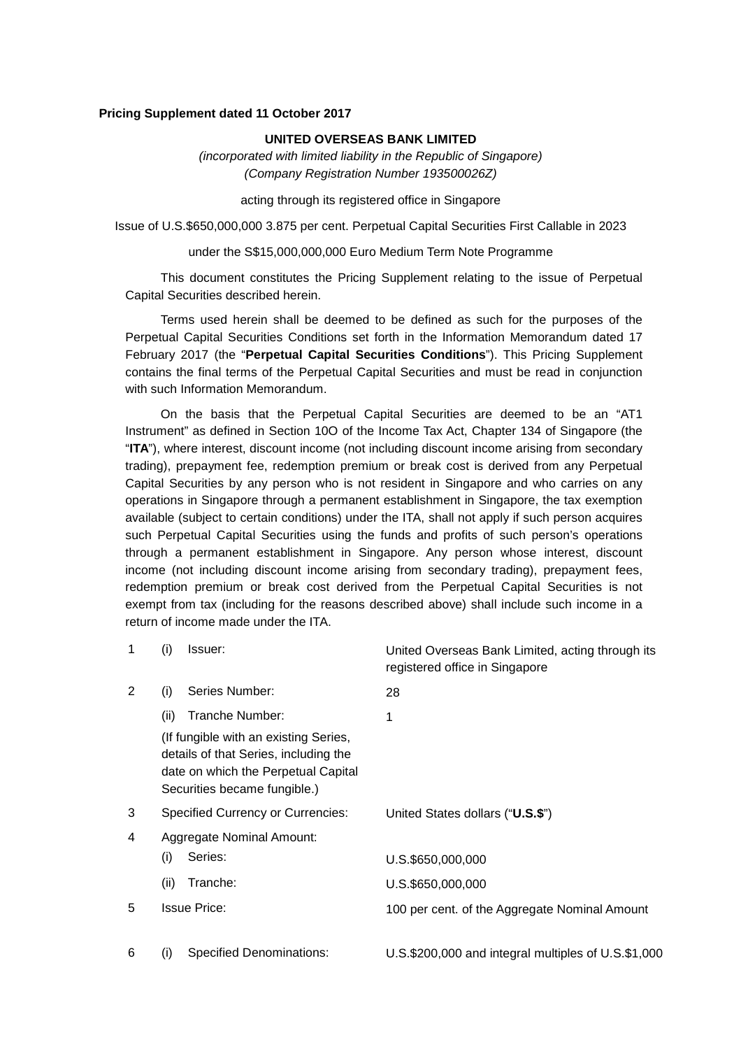#### **Pricing Supplement dated 11 October 2017**

### **UNITED OVERSEAS BANK LIMITED**

*(incorporated with limited liability in the Republic of Singapore) (Company Registration Number 193500026Z)* 

acting through its registered office in Singapore

Issue of U.S.\$650,000,000 3.875 per cent. Perpetual Capital Securities First Callable in 2023

under the S\$15,000,000,000 Euro Medium Term Note Programme

This document constitutes the Pricing Supplement relating to the issue of Perpetual Capital Securities described herein.

Terms used herein shall be deemed to be defined as such for the purposes of the Perpetual Capital Securities Conditions set forth in the Information Memorandum dated 17 February 2017 (the "**Perpetual Capital Securities Conditions**"). This Pricing Supplement contains the final terms of the Perpetual Capital Securities and must be read in conjunction with such Information Memorandum.

On the basis that the Perpetual Capital Securities are deemed to be an "AT1 Instrument" as defined in Section 10O of the Income Tax Act, Chapter 134 of Singapore (the "**ITA**"), where interest, discount income (not including discount income arising from secondary trading), prepayment fee, redemption premium or break cost is derived from any Perpetual Capital Securities by any person who is not resident in Singapore and who carries on any operations in Singapore through a permanent establishment in Singapore, the tax exemption available (subject to certain conditions) under the ITA, shall not apply if such person acquires such Perpetual Capital Securities using the funds and profits of such person's operations through a permanent establishment in Singapore. Any person whose interest, discount income (not including discount income arising from secondary trading), prepayment fees, redemption premium or break cost derived from the Perpetual Capital Securities is not exempt from tax (including for the reasons described above) shall include such income in a return of income made under the ITA.

| 1 | (i)<br>Issuer:                                                                                                                                        | United Overseas Bank Limited, acting through its<br>registered office in Singapore |
|---|-------------------------------------------------------------------------------------------------------------------------------------------------------|------------------------------------------------------------------------------------|
| 2 | Series Number:<br>(i)                                                                                                                                 | 28                                                                                 |
|   | Tranche Number:<br>(ii)                                                                                                                               | 1                                                                                  |
|   | (If fungible with an existing Series,<br>details of that Series, including the<br>date on which the Perpetual Capital<br>Securities became fungible.) |                                                                                    |
| 3 | <b>Specified Currency or Currencies:</b>                                                                                                              | United States dollars ("U.S.\$")                                                   |
| 4 | Aggregate Nominal Amount:                                                                                                                             |                                                                                    |
|   | Series:<br>(i)                                                                                                                                        | U.S.\$650,000,000                                                                  |
|   | (ii)<br>Tranche:                                                                                                                                      | U.S.\$650,000,000                                                                  |
| 5 | <b>Issue Price:</b>                                                                                                                                   | 100 per cent. of the Aggregate Nominal Amount                                      |
| 6 | <b>Specified Denominations:</b><br>(i)                                                                                                                | U.S.\$200,000 and integral multiples of U.S.\$1,000                                |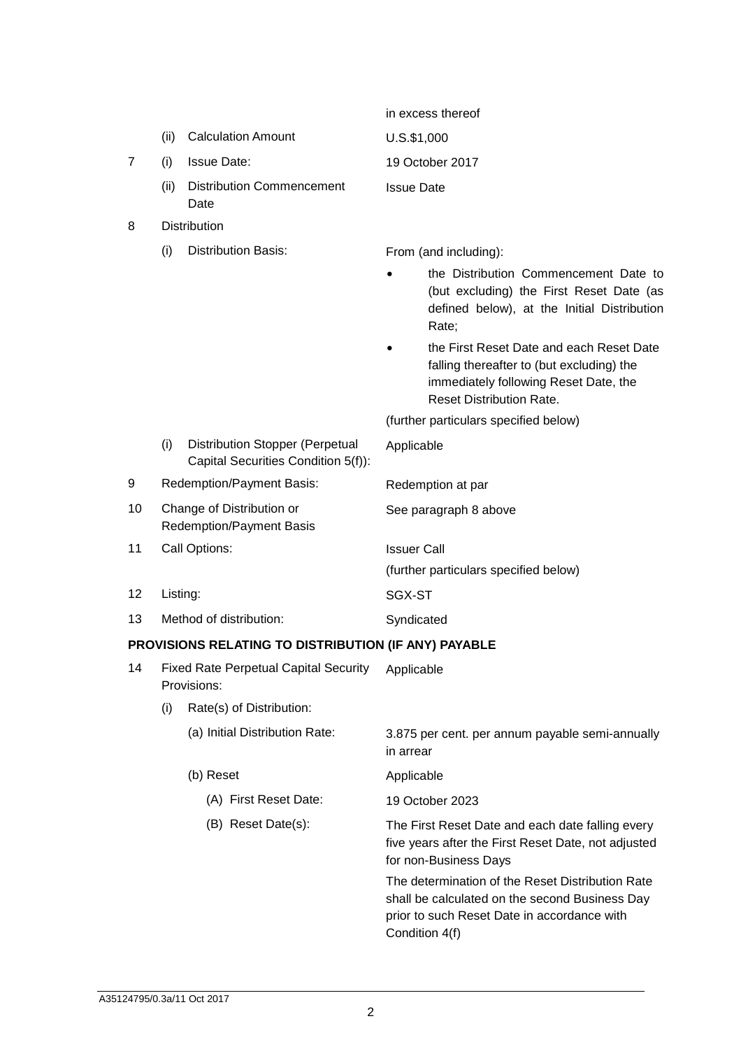|    |                                                             |                                                                               | in excess thereof     |                                                                                                                                                                     |  |
|----|-------------------------------------------------------------|-------------------------------------------------------------------------------|-----------------------|---------------------------------------------------------------------------------------------------------------------------------------------------------------------|--|
|    | (ii)                                                        | <b>Calculation Amount</b>                                                     | $U.S.$ \$1,000        |                                                                                                                                                                     |  |
| 7  | (i)                                                         | <b>Issue Date:</b>                                                            |                       | 19 October 2017                                                                                                                                                     |  |
|    | (ii)                                                        | <b>Distribution Commencement</b><br>Date                                      | <b>Issue Date</b>     |                                                                                                                                                                     |  |
| 8  |                                                             | <b>Distribution</b>                                                           |                       |                                                                                                                                                                     |  |
|    | (i)                                                         | <b>Distribution Basis:</b>                                                    |                       | From (and including):                                                                                                                                               |  |
|    |                                                             |                                                                               |                       | the Distribution Commencement Date to<br>(but excluding) the First Reset Date (as<br>defined below), at the Initial Distribution<br>Rate;                           |  |
|    |                                                             |                                                                               |                       | the First Reset Date and each Reset Date<br>falling thereafter to (but excluding) the<br>immediately following Reset Date, the<br><b>Reset Distribution Rate.</b>   |  |
|    |                                                             |                                                                               |                       | (further particulars specified below)                                                                                                                               |  |
|    | (i)                                                         | <b>Distribution Stopper (Perpetual</b><br>Capital Securities Condition 5(f)): | Applicable            |                                                                                                                                                                     |  |
| 9  |                                                             | Redemption/Payment Basis:                                                     | Redemption at par     |                                                                                                                                                                     |  |
| 10 |                                                             | Change of Distribution or<br><b>Redemption/Payment Basis</b>                  | See paragraph 8 above |                                                                                                                                                                     |  |
| 11 |                                                             | Call Options:                                                                 | <b>Issuer Call</b>    |                                                                                                                                                                     |  |
|    |                                                             |                                                                               |                       | (further particulars specified below)                                                                                                                               |  |
| 12 | Listing:                                                    |                                                                               | SGX-ST                |                                                                                                                                                                     |  |
| 13 | Method of distribution:                                     |                                                                               | Syndicated            |                                                                                                                                                                     |  |
|    |                                                             | PROVISIONS RELATING TO DISTRIBUTION (IF ANY) PAYABLE                          |                       |                                                                                                                                                                     |  |
| 14 | <b>Fixed Rate Perpetual Capital Security</b><br>Provisions: |                                                                               | Applicable            |                                                                                                                                                                     |  |
|    | (i)                                                         | Rate(s) of Distribution:                                                      |                       |                                                                                                                                                                     |  |
|    |                                                             | (a) Initial Distribution Rate:                                                | in arrear             | 3.875 per cent. per annum payable semi-annually                                                                                                                     |  |
|    |                                                             | (b) Reset                                                                     | Applicable            |                                                                                                                                                                     |  |
|    |                                                             | (A) First Reset Date:                                                         |                       | 19 October 2023                                                                                                                                                     |  |
|    |                                                             | (B) Reset Date(s):                                                            |                       | The First Reset Date and each date falling every<br>five years after the First Reset Date, not adjusted<br>for non-Business Days                                    |  |
|    |                                                             |                                                                               |                       | The determination of the Reset Distribution Rate<br>shall be calculated on the second Business Day<br>prior to such Reset Date in accordance with<br>Condition 4(f) |  |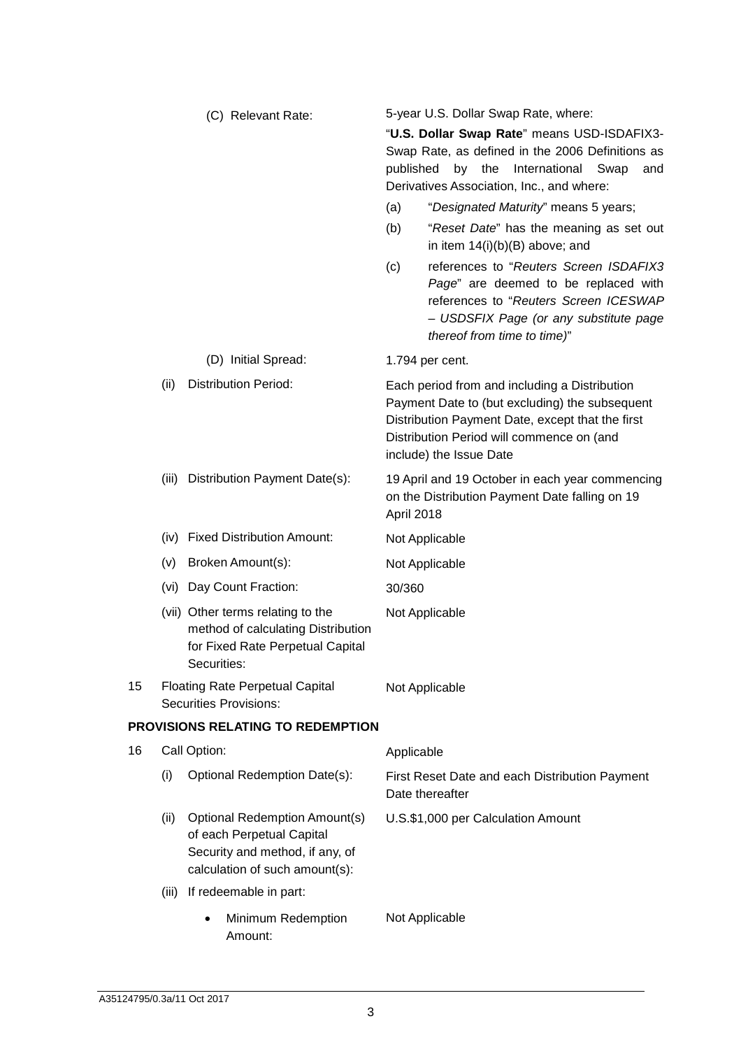|    |       | (C) Relevant Rate:                                                                                                                     | published<br>(a)<br>(b)<br>(c) | 5-year U.S. Dollar Swap Rate, where:<br>"U.S. Dollar Swap Rate" means USD-ISDAFIX3-<br>Swap Rate, as defined in the 2006 Definitions as<br>the<br>by<br>International<br>Swap<br>and<br>Derivatives Association, Inc., and where:<br>"Designated Maturity" means 5 years;<br>"Reset Date" has the meaning as set out<br>in item $14(i)(b)(B)$ above; and<br>references to "Reuters Screen ISDAFIX3<br>Page" are deemed to be replaced with<br>references to "Reuters Screen ICESWAP<br>- USDSFIX Page (or any substitute page<br>thereof from time to time)" |
|----|-------|----------------------------------------------------------------------------------------------------------------------------------------|--------------------------------|--------------------------------------------------------------------------------------------------------------------------------------------------------------------------------------------------------------------------------------------------------------------------------------------------------------------------------------------------------------------------------------------------------------------------------------------------------------------------------------------------------------------------------------------------------------|
|    |       | (D) Initial Spread:                                                                                                                    | 1.794 per cent.                |                                                                                                                                                                                                                                                                                                                                                                                                                                                                                                                                                              |
|    | (ii)  | <b>Distribution Period:</b>                                                                                                            |                                | Each period from and including a Distribution<br>Payment Date to (but excluding) the subsequent<br>Distribution Payment Date, except that the first<br>Distribution Period will commence on (and<br>include) the Issue Date                                                                                                                                                                                                                                                                                                                                  |
|    | (iii) | Distribution Payment Date(s):                                                                                                          | April 2018                     | 19 April and 19 October in each year commencing<br>on the Distribution Payment Date falling on 19                                                                                                                                                                                                                                                                                                                                                                                                                                                            |
|    | (iv)  | <b>Fixed Distribution Amount:</b>                                                                                                      | Not Applicable                 |                                                                                                                                                                                                                                                                                                                                                                                                                                                                                                                                                              |
|    | (v)   | Broken Amount(s):                                                                                                                      | Not Applicable                 |                                                                                                                                                                                                                                                                                                                                                                                                                                                                                                                                                              |
|    | (vi)  | Day Count Fraction:                                                                                                                    | 30/360                         |                                                                                                                                                                                                                                                                                                                                                                                                                                                                                                                                                              |
|    |       | (vii) Other terms relating to the<br>method of calculating Distribution<br>for Fixed Rate Perpetual Capital<br>Securities:             | Not Applicable                 |                                                                                                                                                                                                                                                                                                                                                                                                                                                                                                                                                              |
| 15 |       | <b>Floating Rate Perpetual Capital</b><br><b>Securities Provisions:</b>                                                                | Not Applicable                 |                                                                                                                                                                                                                                                                                                                                                                                                                                                                                                                                                              |
|    |       | PROVISIONS RELATING TO REDEMPTION                                                                                                      |                                |                                                                                                                                                                                                                                                                                                                                                                                                                                                                                                                                                              |
| 16 |       | Call Option:                                                                                                                           | Applicable                     |                                                                                                                                                                                                                                                                                                                                                                                                                                                                                                                                                              |
|    | (i)   | Optional Redemption Date(s):                                                                                                           | Date thereafter                | First Reset Date and each Distribution Payment                                                                                                                                                                                                                                                                                                                                                                                                                                                                                                               |
|    | (ii)  | <b>Optional Redemption Amount(s)</b><br>of each Perpetual Capital<br>Security and method, if any, of<br>calculation of such amount(s): |                                | U.S.\$1,000 per Calculation Amount                                                                                                                                                                                                                                                                                                                                                                                                                                                                                                                           |
|    | (iii) | If redeemable in part:                                                                                                                 |                                |                                                                                                                                                                                                                                                                                                                                                                                                                                                                                                                                                              |
|    |       | Minimum Redemption<br>Amount:                                                                                                          | Not Applicable                 |                                                                                                                                                                                                                                                                                                                                                                                                                                                                                                                                                              |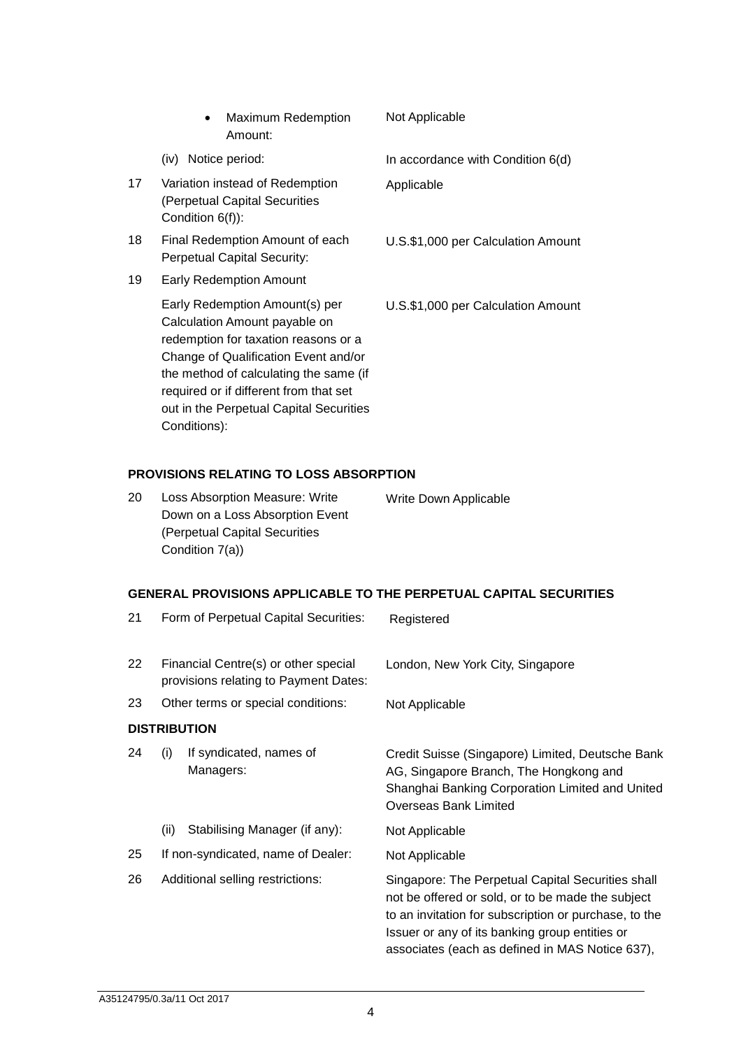|    | <b>Maximum Redemption</b><br>Amount:                                                                                                                                                                                                                                                           | Not Applicable                     |
|----|------------------------------------------------------------------------------------------------------------------------------------------------------------------------------------------------------------------------------------------------------------------------------------------------|------------------------------------|
|    | (iv) Notice period:                                                                                                                                                                                                                                                                            | In accordance with Condition 6(d)  |
| 17 | Variation instead of Redemption<br>(Perpetual Capital Securities<br>Condition 6(f)):                                                                                                                                                                                                           | Applicable                         |
| 18 | Final Redemption Amount of each<br><b>Perpetual Capital Security:</b>                                                                                                                                                                                                                          | U.S.\$1,000 per Calculation Amount |
| 19 | <b>Early Redemption Amount</b>                                                                                                                                                                                                                                                                 |                                    |
|    | Early Redemption Amount(s) per<br>Calculation Amount payable on<br>redemption for taxation reasons or a<br>Change of Qualification Event and/or<br>the method of calculating the same (if<br>required or if different from that set<br>out in the Perpetual Capital Securities<br>Conditions): | U.S.\$1,000 per Calculation Amount |

# **PROVISIONS RELATING TO LOSS ABSORPTION**

| 20 | <b>Loss Absorption Measure: Write</b> | Write Down Applicable |
|----|---------------------------------------|-----------------------|
|    | Down on a Loss Absorption Event       |                       |
|    | (Perpetual Capital Securities         |                       |
|    | Condition 7(a))                       |                       |

# **GENERAL PROVISIONS APPLICABLE TO THE PERPETUAL CAPITAL SECURITIES**

| 21 |                                                                               | Form of Perpetual Capital Securities: | Registered                                                                                                                                                                                                                                                           |
|----|-------------------------------------------------------------------------------|---------------------------------------|----------------------------------------------------------------------------------------------------------------------------------------------------------------------------------------------------------------------------------------------------------------------|
| 22 | Financial Centre(s) or other special<br>provisions relating to Payment Dates: |                                       | London, New York City, Singapore                                                                                                                                                                                                                                     |
| 23 | Other terms or special conditions:                                            |                                       | Not Applicable                                                                                                                                                                                                                                                       |
|    |                                                                               | <b>DISTRIBUTION</b>                   |                                                                                                                                                                                                                                                                      |
| 24 | (i)                                                                           | If syndicated, names of<br>Managers:  | Credit Suisse (Singapore) Limited, Deutsche Bank<br>AG, Singapore Branch, The Hongkong and<br>Shanghai Banking Corporation Limited and United<br><b>Overseas Bank Limited</b>                                                                                        |
|    | (ii)                                                                          | Stabilising Manager (if any):         | Not Applicable                                                                                                                                                                                                                                                       |
| 25 |                                                                               | If non-syndicated, name of Dealer:    | Not Applicable                                                                                                                                                                                                                                                       |
| 26 | Additional selling restrictions:                                              |                                       | Singapore: The Perpetual Capital Securities shall<br>not be offered or sold, or to be made the subject<br>to an invitation for subscription or purchase, to the<br>Issuer or any of its banking group entities or<br>associates (each as defined in MAS Notice 637), |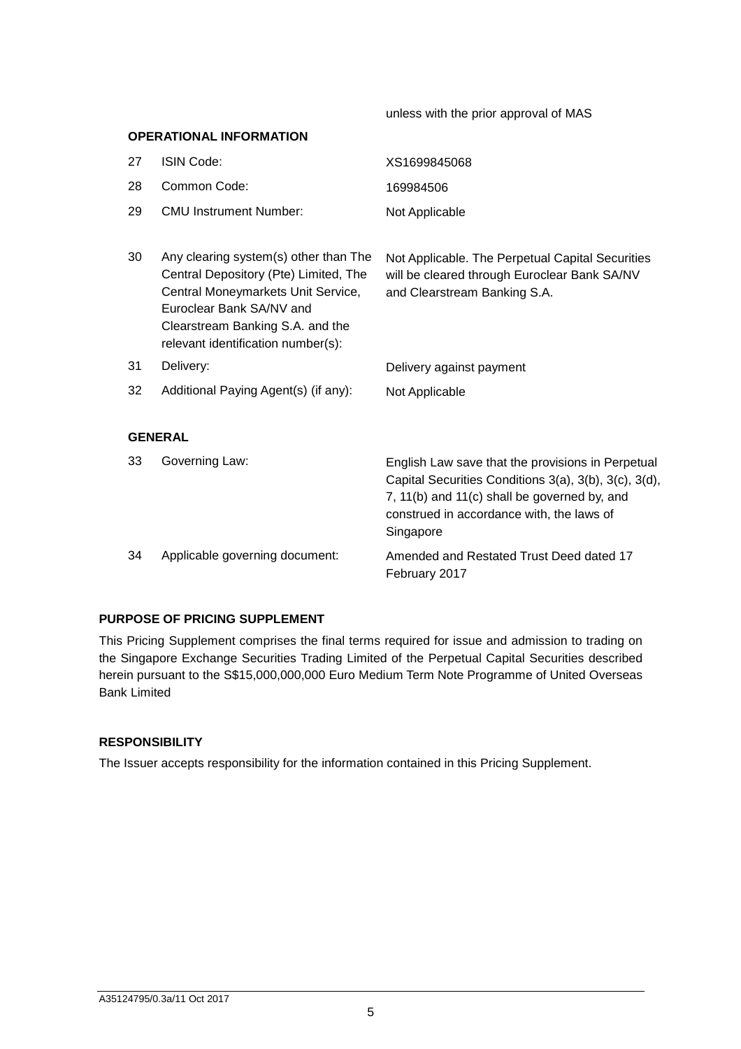unless with the prior approval of MAS

| <b>OPERATIONAL INFORMATION</b> |                                                                                                                                                                                                                            |                                                                                                                                                                                                                      |  |
|--------------------------------|----------------------------------------------------------------------------------------------------------------------------------------------------------------------------------------------------------------------------|----------------------------------------------------------------------------------------------------------------------------------------------------------------------------------------------------------------------|--|
| 27                             | ISIN Code:                                                                                                                                                                                                                 | XS1699845068                                                                                                                                                                                                         |  |
| 28                             | Common Code:                                                                                                                                                                                                               | 169984506                                                                                                                                                                                                            |  |
| 29                             | <b>CMU Instrument Number:</b>                                                                                                                                                                                              | Not Applicable                                                                                                                                                                                                       |  |
| 30                             | Any clearing system(s) other than The<br>Central Depository (Pte) Limited, The<br>Central Moneymarkets Unit Service,<br>Euroclear Bank SA/NV and<br>Clearstream Banking S.A. and the<br>relevant identification number(s): | Not Applicable. The Perpetual Capital Securities<br>will be cleared through Euroclear Bank SA/NV<br>and Clearstream Banking S.A.                                                                                     |  |
| 31                             | Delivery:                                                                                                                                                                                                                  | Delivery against payment                                                                                                                                                                                             |  |
| 32                             | Additional Paying Agent(s) (if any):                                                                                                                                                                                       | Not Applicable                                                                                                                                                                                                       |  |
|                                |                                                                                                                                                                                                                            |                                                                                                                                                                                                                      |  |
|                                | <b>GENERAL</b>                                                                                                                                                                                                             |                                                                                                                                                                                                                      |  |
| 33                             | Governing Law:                                                                                                                                                                                                             | English Law save that the provisions in Perpetual<br>Capital Securities Conditions 3(a), 3(b), 3(c), 3(d),<br>7, 11(b) and 11(c) shall be governed by, and<br>construed in accordance with, the laws of<br>Singapore |  |
| 34                             | Applicable governing document:                                                                                                                                                                                             | Amended and Restated Trust Deed dated 17<br>February 2017                                                                                                                                                            |  |

## **PURPOSE OF PRICING SUPPLEMENT**

This Pricing Supplement comprises the final terms required for issue and admission to trading on the Singapore Exchange Securities Trading Limited of the Perpetual Capital Securities described herein pursuant to the S\$15,000,000,000 Euro Medium Term Note Programme of United Overseas Bank Limited

### **RESPONSIBILITY**

The Issuer accepts responsibility for the information contained in this Pricing Supplement.